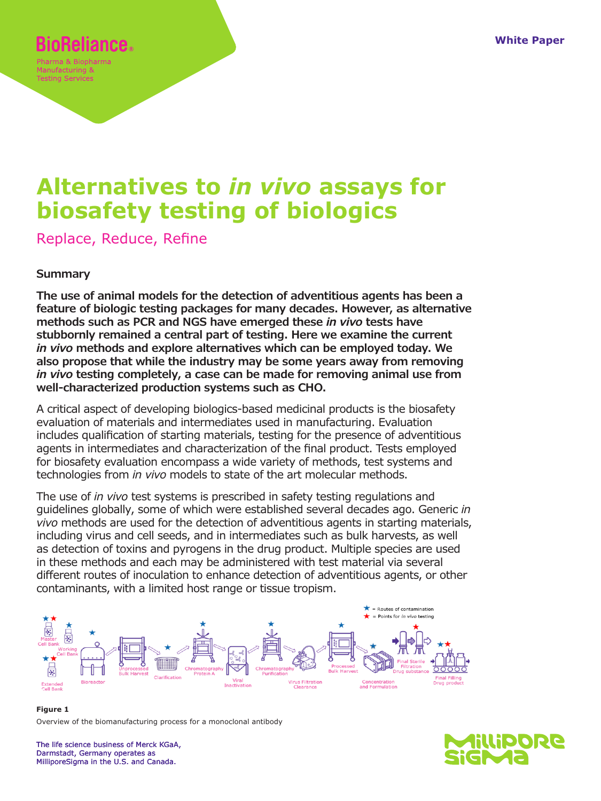# **Reliance.**

Manufacturing & Testing Services

# **Alternatives to** *in vivo* **assays for biosafety testing of biologics**

Replace, Reduce, Refine

# **Summary**

**The use of animal models for the detection of adventitious agents has been a feature of biologic testing packages for many decades. However, as alternative methods such as PCR and NGS have emerged these** *in vivo* **tests have stubbornly remained a central part of testing. Here we examine the current**  *in vivo* **methods and explore alternatives which can be employed today. We also propose that while the industry may be some years away from removing**  *in vivo* **testing completely, a case can be made for removing animal use from well-characterized production systems such as CHO.**

A critical aspect of developing biologics-based medicinal products is the biosafety evaluation of materials and intermediates used in manufacturing. Evaluation includes qualification of starting materials, testing for the presence of adventitious agents in intermediates and characterization of the final product. Tests employed for biosafety evaluation encompass a wide variety of methods, test systems and technologies from *in vivo* models to state of the art molecular methods.

The use of *in vivo* test systems is prescribed in safety testing regulations and guidelines globally, some of which were established several decades ago. Generic *in vivo* methods are used for the detection of adventitious agents in starting materials, including virus and cell seeds, and in intermediates such as bulk harvests, as well as detection of toxins and pyrogens in the drug product. Multiple species are used in these methods and each may be administered with test material via several different routes of inoculation to enhance detection of adventitious agents, or other contaminants, with a limited host range or tissue tropism.



**Figure 1** Overview of the biomanufacturing process for a monoclonal antibody

The life science business of Merck KGaA, Darmstadt, Germany operates as MilliporeSigma in the U.S. and Canada.

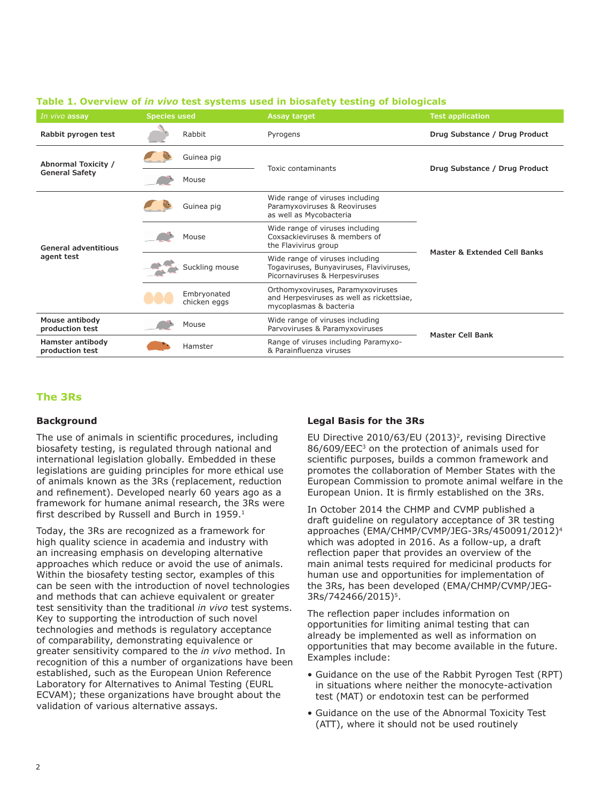| In vivo assay                                | <b>Species used</b> |                             | Assay target                                                                                                  | <b>Test application</b>       |  |
|----------------------------------------------|---------------------|-----------------------------|---------------------------------------------------------------------------------------------------------------|-------------------------------|--|
| Rabbit pyrogen test                          |                     | Rabbit                      | Pyrogens                                                                                                      | Drug Substance / Drug Product |  |
| Abnormal Toxicity /<br><b>General Safety</b> |                     | Guinea pig                  | Toxic contaminants                                                                                            | Drug Substance / Drug Product |  |
|                                              |                     | Mouse                       |                                                                                                               |                               |  |
| <b>General adventitious</b><br>agent test    |                     | Guinea pig                  | Wide range of viruses including<br>Paramyxoviruses & Reoviruses<br>as well as Mycobacteria                    | Master & Extended Cell Banks  |  |
|                                              |                     | Mouse                       | Wide range of viruses including<br>Coxsackieviruses & members of<br>the Flavivirus group                      |                               |  |
|                                              |                     | Suckling mouse              | Wide range of viruses including<br>Togaviruses, Bunyaviruses, Flaviviruses,<br>Picornaviruses & Herpesviruses |                               |  |
|                                              |                     | Embryonated<br>chicken eggs | Orthomyxoviruses, Paramyxoviruses<br>and Herpesviruses as well as rickettsiae,<br>mycoplasmas & bacteria      |                               |  |
| Mouse antibody<br>production test            |                     | Mouse                       | Wide range of viruses including<br>Parvoviruses & Paramyxoviruses                                             | <b>Master Cell Bank</b>       |  |
| Hamster antibody<br>production test          |                     | Hamster                     | Range of viruses including Paramyxo-<br>& Parainfluenza viruses                                               |                               |  |

#### **Table 1. Overview of** *in vivo* **test systems used in biosafety testing of biologicals**

### **The 3Rs**

### **Background**

The use of animals in scientific procedures, including biosafety testing, is regulated through national and international legislation globally. Embedded in these legislations are guiding principles for more ethical use of animals known as the 3Rs (replacement, reduction and refinement). Developed nearly 60 years ago as a framework for humane animal research, the 3Rs were first described by Russell and Burch in 1959.<sup>1</sup>

Today, the 3Rs are recognized as a framework for high quality science in academia and industry with an increasing emphasis on developing alternative approaches which reduce or avoid the use of animals. Within the biosafety testing sector, examples of this can be seen with the introduction of novel technologies and methods that can achieve equivalent or greater test sensitivity than the traditional *in vivo* test systems. Key to supporting the introduction of such novel technologies and methods is regulatory acceptance of comparability, demonstrating equivalence or greater sensitivity compared to the *in vivo* method. In recognition of this a number of organizations have been established, such as the European Union Reference Laboratory for Alternatives to Animal Testing (EURL ECVAM); these organizations have brought about the validation of various alternative assays.

### **Legal Basis for the 3Rs**

EU Directive 2010/63/EU (2013)<sup>2</sup>, revising Directive 86/609/EEC<sup>3</sup> on the protection of animals used for scientific purposes, builds a common framework and promotes the collaboration of Member States with the European Commission to promote animal welfare in the European Union. It is firmly established on the 3Rs.

In October 2014 the CHMP and CVMP published a draft guideline on regulatory acceptance of 3R testing approaches (EMA/CHMP/CVMP/JEG-3Rs/450091/2012)4 which was adopted in 2016. As a follow-up, a draft reflection paper that provides an overview of the main animal tests required for medicinal products for human use and opportunities for implementation of the 3Rs, has been developed (EMA/CHMP/CVMP/JEG-3Rs/742466/2015)<sup>5</sup>.

The reflection paper includes information on opportunities for limiting animal testing that can already be implemented as well as information on opportunities that may become available in the future. Examples include:

- Guidance on the use of the Rabbit Pyrogen Test (RPT) in situations where neither the monocyte-activation test (MAT) or endotoxin test can be performed
- Guidance on the use of the Abnormal Toxicity Test (ATT), where it should not be used routinely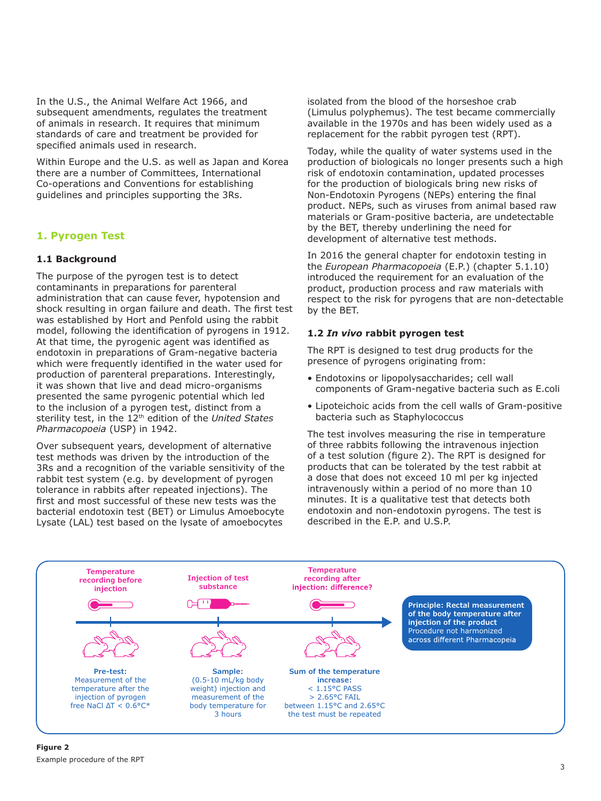In the U.S., the Animal Welfare Act 1966, and subsequent amendments, regulates the treatment of animals in research. It requires that minimum standards of care and treatment be provided for specified animals used in research.

Within Europe and the U.S. as well as Japan and Korea there are a number of Committees, International Co-operations and Conventions for establishing guidelines and principles supporting the 3Rs.

# **1. Pyrogen Test**

# **1.1 Background**

The purpose of the pyrogen test is to detect contaminants in preparations for parenteral administration that can cause fever, hypotension and shock resulting in organ failure and death. The first test was established by Hort and Penfold using the rabbit model, following the identification of pyrogens in 1912. At that time, the pyrogenic agent was identified as endotoxin in preparations of Gram-negative bacteria which were frequently identified in the water used for production of parenteral preparations. Interestingly, it was shown that live and dead micro-organisms presented the same pyrogenic potential which led to the inclusion of a pyrogen test, distinct from a sterility test, in the 12th edition of the *United States Pharmacopoeia* (USP) in 1942.

Over subsequent years, development of alternative test methods was driven by the introduction of the 3Rs and a recognition of the variable sensitivity of the rabbit test system (e.g. by development of pyrogen tolerance in rabbits after repeated injections). The first and most successful of these new tests was the bacterial endotoxin test (BET) or Limulus Amoebocyte Lysate (LAL) test based on the lysate of amoebocytes

isolated from the blood of the horseshoe crab (Limulus polyphemus). The test became commercially available in the 1970s and has been widely used as a replacement for the rabbit pyrogen test (RPT).

Today, while the quality of water systems used in the production of biologicals no longer presents such a high risk of endotoxin contamination, updated processes for the production of biologicals bring new risks of Non-Endotoxin Pyrogens (NEPs) entering the final product. NEPs, such as viruses from animal based raw materials or Gram-positive bacteria, are undetectable by the BET, thereby underlining the need for development of alternative test methods.

In 2016 the general chapter for endotoxin testing in the *European Pharmacopoeia* (E.P.) (chapter 5.1.10) introduced the requirement for an evaluation of the product, production process and raw materials with respect to the risk for pyrogens that are non-detectable by the BET.

# **1.2** *In vivo* **rabbit pyrogen test**

The RPT is designed to test drug products for the presence of pyrogens originating from:

- Endotoxins or lipopolysaccharides; cell wall components of Gram-negative bacteria such as E.coli
- Lipoteichoic acids from the cell walls of Gram-positive bacteria such as Staphylococcus

The test involves measuring the rise in temperature of three rabbits following the intravenous injection of a test solution (figure 2). The RPT is designed for products that can be tolerated by the test rabbit at a dose that does not exceed 10 ml per kg injected intravenously within a period of no more than 10 minutes. It is a qualitative test that detects both endotoxin and non-endotoxin pyrogens. The test is described in the E.P. and U.S.P.

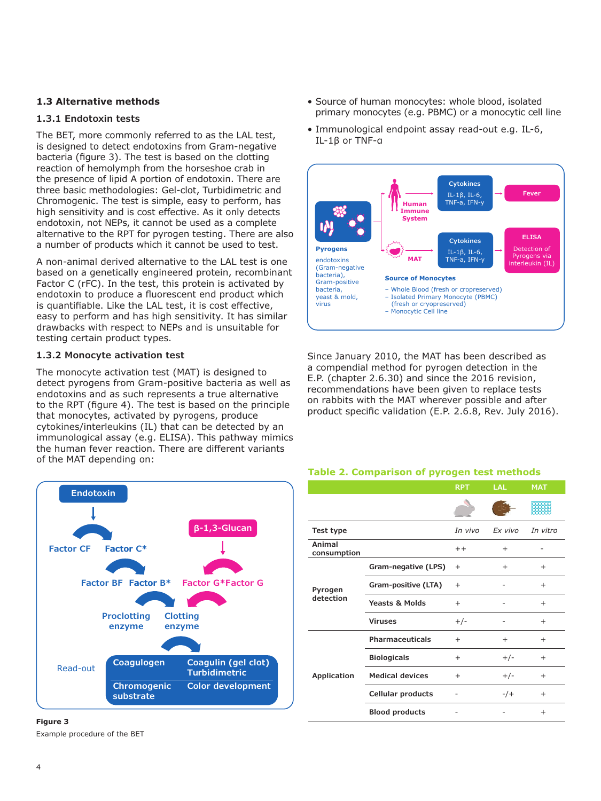## **1.3 Alternative methods**

### **1.3.1 Endotoxin tests**

The BET, more commonly referred to as the LAL test, is designed to detect endotoxins from Gram-negative bacteria (figure 3). The test is based on the clotting reaction of hemolymph from the horseshoe crab in the presence of lipid A portion of endotoxin. There are three basic methodologies: Gel-clot, Turbidimetric and Chromogenic. The test is simple, easy to perform, has high sensitivity and is cost effective. As it only detects endotoxin, not NEPs, it cannot be used as a complete alternative to the RPT for pyrogen testing. There are also a number of products which it cannot be used to test.

A non-animal derived alternative to the LAL test is one based on a genetically engineered protein, recombinant Factor C (rFC). In the test, this protein is activated by endotoxin to produce a fluorescent end product which is quantifiable. Like the LAL test, it is cost effective, easy to perform and has high sensitivity. It has similar drawbacks with respect to NEPs and is unsuitable for testing certain product types.

# **1.3.2 Monocyte activation test**

The monocyte activation test (MAT) is designed to detect pyrogens from Gram-positive bacteria as well as endotoxins and as such represents a true alternative to the RPT (figure 4). The test is based on the principle that monocytes, activated by pyrogens, produce cytokines/interleukins (IL) that can be detected by an immunological assay (e.g. ELISA). This pathway mimics the human fever reaction. There are different variants of the MAT depending on:



#### **Figure 3**

Example procedure of the BET

- Source of human monocytes: whole blood, isolated primary monocytes (e.g. PBMC) or a monocytic cell line
- Immunological endpoint assay read-out e.g. IL-6, IL-1β or TNF-α



Since January 2010, the MAT has been described as a compendial method for pyrogen detection in the E.P. (chapter 2.6.30) and since the 2016 revision, recommendations have been given to replace tests on rabbits with the MAT wherever possible and after product specific validation (E.P. 2.6.8, Rev. July 2016).

#### **Table 2. Comparison of pyrogen test methods**

|                       |                           | <b>RPT</b> | <b>LAL</b> | <b>MAT</b> |
|-----------------------|---------------------------|------------|------------|------------|
|                       |                           |            |            |            |
| Test type             |                           | In vivo    | Ex vivo    | In vitro   |
| Animal<br>consumption |                           | $+ +$      | $\ddot{}$  |            |
| Pyrogen<br>detection  | Gram-negative (LPS)       | $^{+}$     | $^{+}$     | $^{+}$     |
|                       | Gram-positive (LTA)       | $^{+}$     |            | $^{+}$     |
|                       | <b>Yeasts &amp; Molds</b> | $^{+}$     |            | $^{+}$     |
|                       | <b>Viruses</b>            | $+/-$      |            | $^{+}$     |
| Application           | Pharmaceuticals           | $\ddot{}$  | $^{+}$     | $\ddot{}$  |
|                       | <b>Biologicals</b>        | $^{+}$     | $+/-$      | $^{+}$     |
|                       | <b>Medical devices</b>    | $^{+}$     | $+/-$      | $^{+}$     |
|                       | <b>Cellular products</b>  |            | $-/-$      | $^{+}$     |
|                       | <b>Blood products</b>     |            |            | $\ddot{}$  |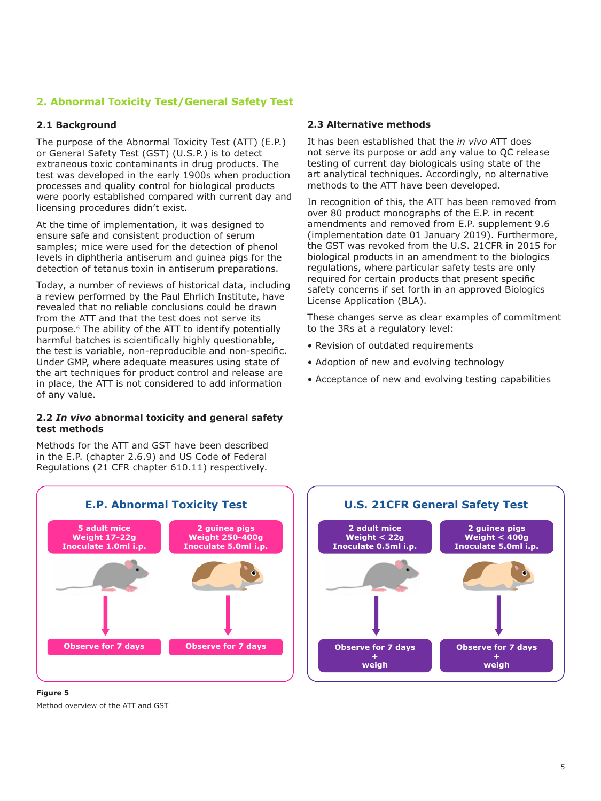# **2. Abnormal Toxicity Test/General Safety Test**

## **2.1 Background**

The purpose of the Abnormal Toxicity Test (ATT) (E.P.) or General Safety Test (GST) (U.S.P.) is to detect extraneous toxic contaminants in drug products. The test was developed in the early 1900s when production processes and quality control for biological products were poorly established compared with current day and licensing procedures didn't exist.

At the time of implementation, it was designed to ensure safe and consistent production of serum samples; mice were used for the detection of phenol levels in diphtheria antiserum and guinea pigs for the detection of tetanus toxin in antiserum preparations.

Today, a number of reviews of historical data, including a review performed by the Paul Ehrlich Institute, have revealed that no reliable conclusions could be drawn from the ATT and that the test does not serve its purpose.6 The ability of the ATT to identify potentially harmful batches is scientifically highly questionable, the test is variable, non-reproducible and non-specific. Under GMP, where adequate measures using state of the art techniques for product control and release are in place, the ATT is not considered to add information of any value.

### **2.2** *In vivo* **abnormal toxicity and general safety test methods**

Methods for the ATT and GST have been described in the E.P. (chapter 2.6.9) and US Code of Federal Regulations (21 CFR chapter 610.11) respectively.

### **2.3 Alternative methods**

It has been established that the *in vivo* ATT does not serve its purpose or add any value to QC release testing of current day biologicals using state of the art analytical techniques. Accordingly, no alternative methods to the ATT have been developed.

In recognition of this, the ATT has been removed from over 80 product monographs of the E.P. in recent amendments and removed from E.P. supplement 9.6 (implementation date 01 January 2019). Furthermore, the GST was revoked from the U.S. 21CFR in 2015 for biological products in an amendment to the biologics regulations, where particular safety tests are only required for certain products that present specific safety concerns if set forth in an approved Biologics License Application (BLA).

These changes serve as clear examples of commitment to the 3Rs at a regulatory level:

- Revision of outdated requirements
- Adoption of new and evolving technology
- Acceptance of new and evolving testing capabilities



**Figure 5** Method overview of the ATT and GST

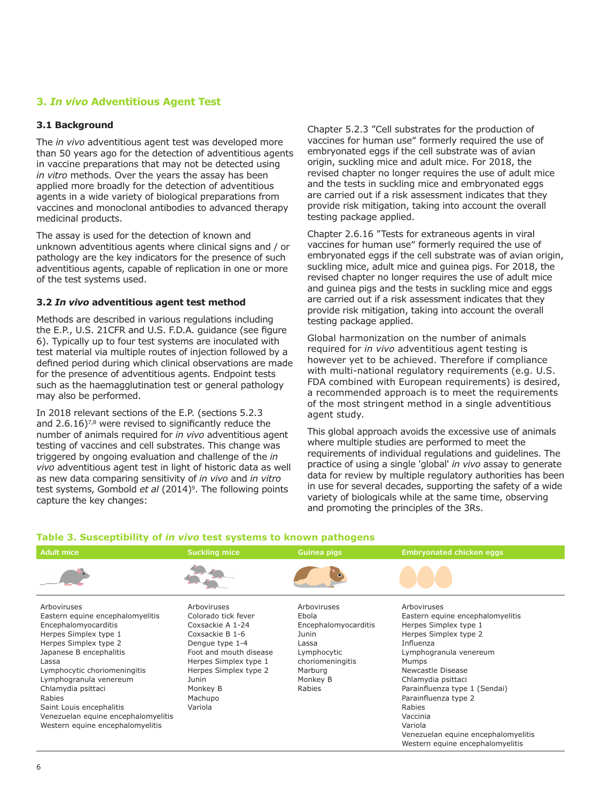### **3.** *In vivo* **Adventitious Agent Test**

#### **3.1 Background**

The *in vivo* adventitious agent test was developed more than 50 years ago for the detection of adventitious agents in vaccine preparations that may not be detected using *in vitro* methods. Over the years the assay has been applied more broadly for the detection of adventitious agents in a wide variety of biological preparations from vaccines and monoclonal antibodies to advanced therapy medicinal products.

The assay is used for the detection of known and unknown adventitious agents where clinical signs and / or pathology are the key indicators for the presence of such adventitious agents, capable of replication in one or more of the test systems used.

### **3.2** *In vivo* **adventitious agent test method**

Methods are described in various regulations including the E.P., U.S. 21CFR and U.S. F.D.A. guidance (see figure 6). Typically up to four test systems are inoculated with test material via multiple routes of injection followed by a defined period during which clinical observations are made for the presence of adventitious agents. Endpoint tests such as the haemagglutination test or general pathology may also be performed.

In 2018 relevant sections of the E.P. (sections 5.2.3 and  $2.6.16$ <sup>7,8</sup> were revised to significantly reduce the number of animals required for *in vivo* adventitious agent testing of vaccines and cell substrates. This change was triggered by ongoing evaluation and challenge of the *in vivo* adventitious agent test in light of historic data as well as new data comparing sensitivity of *in vivo* and *in vitro* test systems, Gombold *et al* (2014)<sup>9</sup>. The following points capture the key changes:

Chapter 5.2.3 "Cell substrates for the production of vaccines for human use" formerly required the use of embryonated eggs if the cell substrate was of avian origin, suckling mice and adult mice. For 2018, the revised chapter no longer requires the use of adult mice and the tests in suckling mice and embryonated eggs are carried out if a risk assessment indicates that they provide risk mitigation, taking into account the overall testing package applied.

Chapter 2.6.16 "Tests for extraneous agents in viral vaccines for human use" formerly required the use of embryonated eggs if the cell substrate was of avian origin, suckling mice, adult mice and guinea pigs. For 2018, the revised chapter no longer requires the use of adult mice and guinea pigs and the tests in suckling mice and eggs are carried out if a risk assessment indicates that they provide risk mitigation, taking into account the overall testing package applied.

Global harmonization on the number of animals required for *in vivo* adventitious agent testing is however yet to be achieved. Therefore if compliance with multi-national regulatory requirements (e.g. U.S. FDA combined with European requirements) is desired, a recommended approach is to meet the requirements of the most stringent method in a single adventitious agent study.

This global approach avoids the excessive use of animals where multiple studies are performed to meet the requirements of individual regulations and guidelines. The practice of using a single 'global' *in vivo* assay to generate data for review by multiple regulatory authorities has been in use for several decades, supporting the safety of a wide variety of biologicals while at the same time, observing and promoting the principles of the 3Rs.

| <b>Adult mice</b>                                                                                                                                                                                                                                                                   | <b>Suckling mice</b>                                                                                                                                                                                                | <b>Guinea pigs</b>                                                                                                                 | <b>Embryonated chicken eggs</b>                                                                                                                                                                                                                                 |
|-------------------------------------------------------------------------------------------------------------------------------------------------------------------------------------------------------------------------------------------------------------------------------------|---------------------------------------------------------------------------------------------------------------------------------------------------------------------------------------------------------------------|------------------------------------------------------------------------------------------------------------------------------------|-----------------------------------------------------------------------------------------------------------------------------------------------------------------------------------------------------------------------------------------------------------------|
|                                                                                                                                                                                                                                                                                     |                                                                                                                                                                                                                     |                                                                                                                                    |                                                                                                                                                                                                                                                                 |
| Arboviruses<br>Eastern equine encephalomyelitis<br>Encephalomyocarditis<br>Herpes Simplex type 1<br>Herpes Simplex type 2<br>Japanese B encephalitis<br>Lassa<br>Lymphocytic choriomeningitis<br>Lymphogranula venereum<br>Chlamydia psittaci<br>Rabies<br>Saint Louis encephalitis | Arboviruses<br>Colorado tick fever<br>Coxsackie A 1-24<br>Coxsackie B 1-6<br>Dengue type 1-4<br>Foot and mouth disease<br>Herpes Simplex type 1<br>Herpes Simplex type 2<br>Junin<br>Monkey B<br>Machupo<br>Variola | Arboviruses<br>Ebola<br>Encephalomyocarditis<br>Junin<br>Lassa<br>Lymphocytic<br>choriomeningitis<br>Marburg<br>Monkey B<br>Rabies | Arboviruses<br>Eastern equine encephalomyelitis<br>Herpes Simplex type 1<br>Herpes Simplex type 2<br>Influenza<br>Lymphogranula venereum<br>Mumps<br>Newcastle Disease<br>Chlamydia psittaci<br>Parainfluenza type 1 (Sendai)<br>Parainfluenza type 2<br>Rabies |
| Venezuelan equine encephalomyelitis<br>Western equine encephalomyelitis                                                                                                                                                                                                             |                                                                                                                                                                                                                     |                                                                                                                                    | Vaccinia<br>Variola<br>Venezuelan equine encephalomyelitis<br>Western equine encephalomyelitis                                                                                                                                                                  |

# Table 3. Susceptibility of in vivo test systems to known pathogens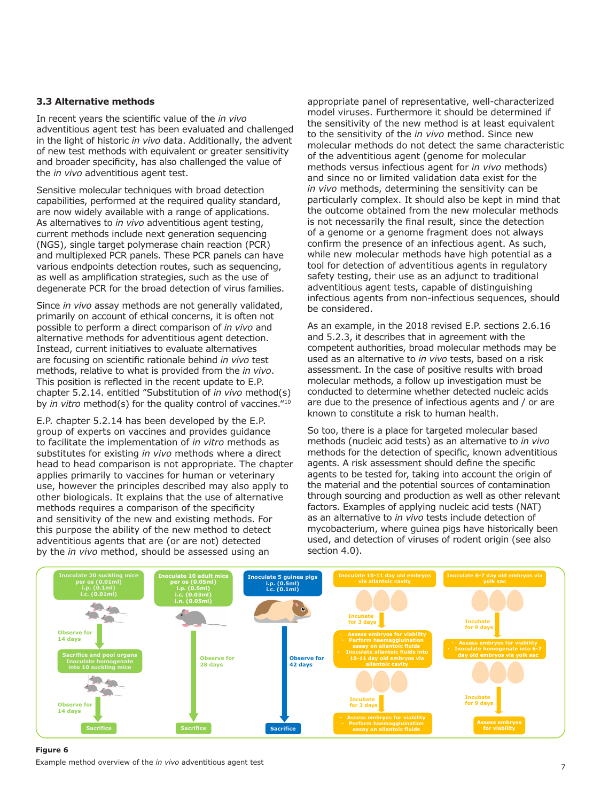#### **3.3 Alternative methods**

In recent years the scientific value of the *in vivo* adventitious agent test has been evaluated and challenged in the light of historic *in vivo* data. Additionally, the advent of new test methods with equivalent or greater sensitivity and broader specificity, has also challenged the value of the *in vivo* adventitious agent test.

Sensitive molecular techniques with broad detection capabilities, performed at the required quality standard, are now widely available with a range of applications. As alternatives to *in vivo* adventitious agent testing, current methods include next generation sequencing (NGS), single target polymerase chain reaction (PCR) and multiplexed PCR panels. These PCR panels can have various endpoints detection routes, such as sequencing, as well as amplification strategies, such as the use of degenerate PCR for the broad detection of virus families.

Since *in vivo* assay methods are not generally validated, primarily on account of ethical concerns, it is often not possible to perform a direct comparison of *in vivo* and alternative methods for adventitious agent detection. Instead, current initiatives to evaluate alternatives are focusing on scientific rationale behind *in vivo* test methods, relative to what is provided from the *in vivo*. This position is reflected in the recent update to E.P. chapter 5.2.14. entitled "Substitution of *in vivo* method(s) by *in vitro* method(s) for the quality control of vaccines."10

E.P. chapter 5.2.14 has been developed by the E.P. group of experts on vaccines and provides guidance to facilitate the implementation of *in vitro* methods as substitutes for existing *in vivo* methods where a direct head to head comparison is not appropriate. The chapter applies primarily to vaccines for human or veterinary use, however the principles described may also apply to other biologicals. It explains that the use of alternative methods requires a comparison of the specificity and sensitivity of the new and existing methods. For this purpose the ability of the new method to detect adventitious agents that are (or are not) detected by the *in vivo* method, should be assessed using an

appropriate panel of representative, well-characterized model viruses. Furthermore it should be determined if the sensitivity of the new method is at least equivalent to the sensitivity of the *in vivo* method. Since new molecular methods do not detect the same characteristic of the adventitious agent (genome for molecular methods versus infectious agent for *in vivo* methods) and since no or limited validation data exist for the *in vivo* methods, determining the sensitivity can be particularly complex. It should also be kept in mind that the outcome obtained from the new molecular methods is not necessarily the final result, since the detection of a genome or a genome fragment does not always confirm the presence of an infectious agent. As such, while new molecular methods have high potential as a tool for detection of adventitious agents in regulatory safety testing, their use as an adjunct to traditional adventitious agent tests, capable of distinguishing infectious agents from non-infectious sequences, should be considered.

As an example, in the 2018 revised E.P. sections 2.6.16 and 5.2.3, it describes that in agreement with the competent authorities, broad molecular methods may be used as an alternative to *in vivo* tests, based on a risk assessment. In the case of positive results with broad molecular methods, a follow up investigation must be conducted to determine whether detected nucleic acids are due to the presence of infectious agents and / or are known to constitute a risk to human health.

So too, there is a place for targeted molecular based methods (nucleic acid tests) as an alternative to *in vivo* methods for the detection of specific, known adventitious agents. A risk assessment should define the specific agents to be tested for, taking into account the origin of the material and the potential sources of contamination through sourcing and production as well as other relevant factors. Examples of applying nucleic acid tests (NAT) as an alternative to *in vivo* tests include detection of mycobacterium, where guinea pigs have historically been used, and detection of viruses of rodent origin (see also section 4.0).



#### **Figure 6**

Example method overview of the *in vivo* adventitious agent test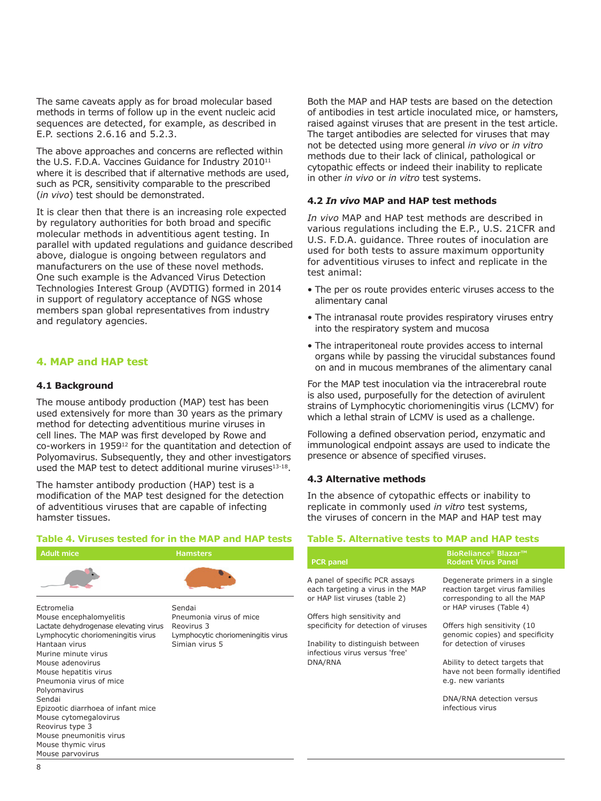The same caveats apply as for broad molecular based methods in terms of follow up in the event nucleic acid sequences are detected, for example, as described in E.P. sections 2.6.16 and 5.2.3.

The above approaches and concerns are reflected within the U.S. F.D.A. Vaccines Guidance for Industry 2010<sup>11</sup> where it is described that if alternative methods are used, such as PCR, sensitivity comparable to the prescribed (*in vivo*) test should be demonstrated.

It is clear then that there is an increasing role expected by regulatory authorities for both broad and specific molecular methods in adventitious agent testing. In parallel with updated regulations and guidance described above, dialogue is ongoing between regulators and manufacturers on the use of these novel methods. One such example is the Advanced Virus Detection Technologies Interest Group (AVDTIG) formed in 2014 in support of regulatory acceptance of NGS whose members span global representatives from industry and regulatory agencies.

# **4. MAP and HAP test**

#### **4.1 Background**

The mouse antibody production (MAP) test has been used extensively for more than 30 years as the primary method for detecting adventitious murine viruses in cell lines. The MAP was first developed by Rowe and co-workers in 195912 for the quantitation and detection of Polyomavirus. Subsequently, they and other investigators used the MAP test to detect additional murine viruses<sup>13-18</sup>.

The hamster antibody production (HAP) test is a modification of the MAP test designed for the detection of adventitious viruses that are capable of infecting hamster tissues.

# **Table 4. Viruses tested for in the MAP and HAP tests**



Epizootic diarrhoea of infant mice **Sacrifice Sacrifice**

Mouse cytomegalovirus Reovirus type 3 Mouse pneumonitis virus Mouse thymic virus Mouse parvovirus

Both the MAP and HAP tests are based on the detection of antibodies in test article inoculated mice, or hamsters, raised against viruses that are present in the test article. The target antibodies are selected for viruses that may not be detected using more general *in vivo* or *in vitro* methods due to their lack of clinical, pathological or cytopathic effects or indeed their inability to replicate in other *in vivo* or *in vitro* test systems.

#### **4.2** *In vivo* **MAP and HAP test methods**

*In vivo* MAP and HAP test methods are described in various regulations including the E.P., U.S. 21CFR and U.S. F.D.A. guidance. Three routes of inoculation are used for both tests to assure maximum opportunity for adventitious viruses to infect and replicate in the test animal:

- The per os route provides enteric viruses access to the alimentary canal
- The intranasal route provides respiratory viruses entry into the respiratory system and mucosa
- The intraperitoneal route provides access to internal organs while by passing the virucidal substances found on and in mucous membranes of the alimentary canal

For the MAP test inoculation via the intracerebral route is also used, purposefully for the detection of avirulent strains of Lymphocytic choriomeningitis virus (LCMV) for which a lethal strain of LCMV is used as a challenge.

Following a defined observation period, enzymatic and immunological endpoint assays are used to indicate the presence or absence of specified viruses.

#### **4.3 Alternative methods**

In the absence of cytopathic effects or inability to replicate in commonly used *in vitro* test systems, the viruses of concern in the MAP and HAP test may

#### **Table 5. Alternative tests to MAP and HAP tests**

| <b>PCR</b> panel                                                                                     | <b>BioReliance<sup>®</sup> Blazar<sup>™</sup></b><br><b>Rodent Virus Panel</b>                                               |
|------------------------------------------------------------------------------------------------------|------------------------------------------------------------------------------------------------------------------------------|
| A panel of specific PCR assays<br>each targeting a virus in the MAP<br>or HAP list viruses (table 2) | Degenerate primers in a single<br>reaction target virus families<br>corresponding to all the MAP<br>or HAP viruses (Table 4) |
| Offers high sensitivity and                                                                          |                                                                                                                              |
| specificity for detection of viruses                                                                 | Offers high sensitivity (10<br>genomic copies) and specificity                                                               |
| Inability to distinguish between<br>infectious virus versus 'free'                                   | for detection of viruses                                                                                                     |
| DNA/RNA                                                                                              | Ability to detect targets that<br>have not been formally identified<br>e.g. new variants                                     |
|                                                                                                      | DNA/RNA detection versus<br>infectious virus                                                                                 |
|                                                                                                      |                                                                                                                              |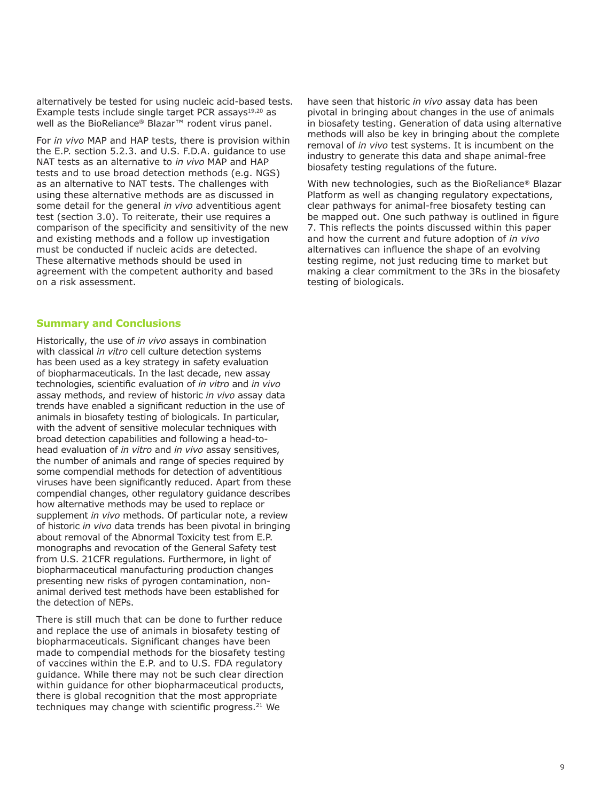alternatively be tested for using nucleic acid-based tests. Example tests include single target PCR assays $19,20$  as well as the BioReliance® Blazar<sup>™</sup> rodent virus panel.

For *in vivo* MAP and HAP tests, there is provision within the E.P. section 5.2.3. and U.S. F.D.A. guidance to use NAT tests as an alternative to *in vivo* MAP and HAP tests and to use broad detection methods (e.g. NGS) as an alternative to NAT tests. The challenges with using these alternative methods are as discussed in some detail for the general *in vivo* adventitious agent test (section 3.0). To reiterate, their use requires a comparison of the specificity and sensitivity of the new and existing methods and a follow up investigation must be conducted if nucleic acids are detected. These alternative methods should be used in agreement with the competent authority and based on a risk assessment.

#### **Summary and Conclusions**

Historically, the use of *in vivo* assays in combination with classical *in vitro* cell culture detection systems has been used as a key strategy in safety evaluation of biopharmaceuticals. In the last decade, new assay technologies, scientific evaluation of *in vitro* and *in vivo* assay methods, and review of historic *in vivo* assay data trends have enabled a significant reduction in the use of animals in biosafety testing of biologicals. In particular, with the advent of sensitive molecular techniques with broad detection capabilities and following a head-tohead evaluation of *in vitro* and *in vivo* assay sensitives, the number of animals and range of species required by some compendial methods for detection of adventitious viruses have been significantly reduced. Apart from these compendial changes, other regulatory guidance describes how alternative methods may be used to replace or supplement *in vivo* methods. Of particular note, a review of historic *in vivo* data trends has been pivotal in bringing about removal of the Abnormal Toxicity test from E.P. monographs and revocation of the General Safety test from U.S. 21CFR regulations. Furthermore, in light of biopharmaceutical manufacturing production changes presenting new risks of pyrogen contamination, nonanimal derived test methods have been established for the detection of NEPs.

There is still much that can be done to further reduce and replace the use of animals in biosafety testing of biopharmaceuticals. Significant changes have been made to compendial methods for the biosafety testing of vaccines within the E.P. and to U.S. FDA regulatory guidance. While there may not be such clear direction within guidance for other biopharmaceutical products, there is global recognition that the most appropriate techniques may change with scientific progress.<sup>21</sup> We

have seen that historic *in vivo* assay data has been pivotal in bringing about changes in the use of animals in biosafety testing. Generation of data using alternative methods will also be key in bringing about the complete removal of *in vivo* test systems. It is incumbent on the industry to generate this data and shape animal-free biosafety testing regulations of the future.

With new technologies, such as the BioReliance® Blazar Platform as well as changing regulatory expectations, clear pathways for animal-free biosafety testing can be mapped out. One such pathway is outlined in figure 7. This reflects the points discussed within this paper and how the current and future adoption of *in vivo* alternatives can influence the shape of an evolving testing regime, not just reducing time to market but making a clear commitment to the 3Rs in the biosafety testing of biologicals.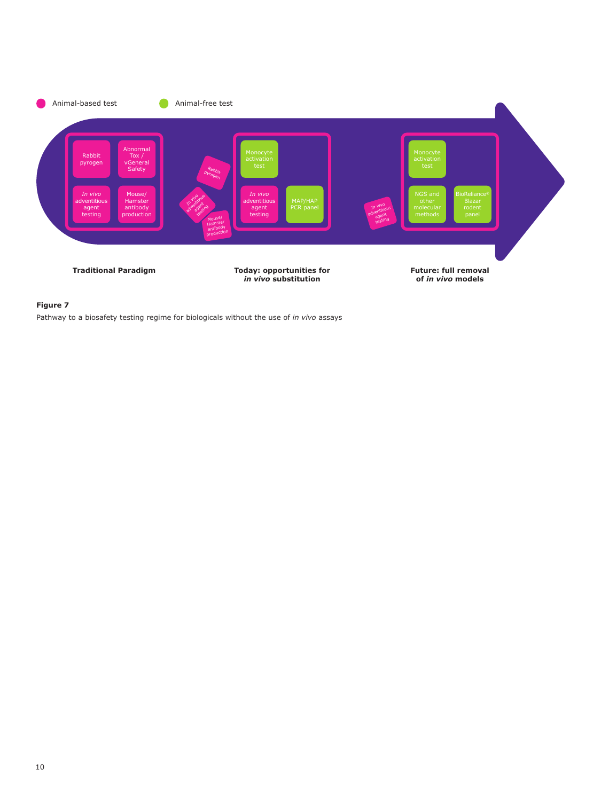

#### **Figure 7**

Pathway to a biosafety testing regime for biologicals without the use of *in vivo* assays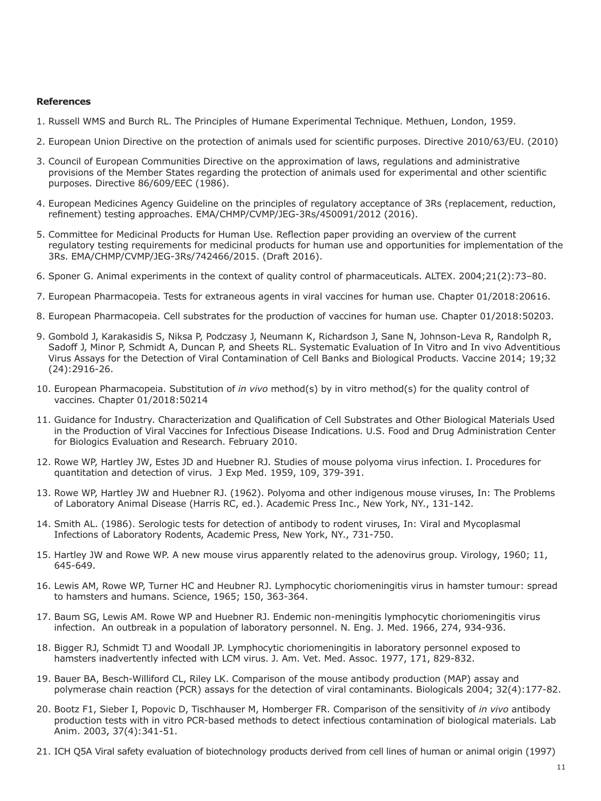#### **References**

- 1. Russell WMS and Burch RL. The Principles of Humane Experimental Technique. Methuen, London, 1959.
- 2. European Union Directive on the protection of animals used for scientific purposes. Directive 2010/63/EU. (2010)
- 3. Council of European Communities Directive on the approximation of laws, regulations and administrative provisions of the Member States regarding the protection of animals used for experimental and other scientific purposes. Directive 86/609/EEC (1986).
- 4. European Medicines Agency Guideline on the principles of regulatory acceptance of 3Rs (replacement, reduction, refinement) testing approaches. EMA/CHMP/CVMP/JEG-3Rs/450091/2012 (2016).
- 5. Committee for Medicinal Products for Human Use. Reflection paper providing an overview of the current regulatory testing requirements for medicinal products for human use and opportunities for implementation of the 3Rs. EMA/CHMP/CVMP/JEG-3Rs/742466/2015. (Draft 2016).
- 6. Sponer G. Animal experiments in the context of quality control of pharmaceuticals. ALTEX. 2004;21(2):73–80.
- 7. European Pharmacopeia. Tests for extraneous agents in viral vaccines for human use. Chapter 01/2018:20616.
- 8. European Pharmacopeia. Cell substrates for the production of vaccines for human use. Chapter 01/2018:50203.
- 9. Gombold J, Karakasidis S, Niksa P, Podczasy J, Neumann K, Richardson J, Sane N, Johnson-Leva R, Randolph R, Sadoff J, Minor P, Schmidt A, Duncan P, and Sheets RL. Systematic Evaluation of In Vitro and In vivo Adventitious Virus Assays for the Detection of Viral Contamination of Cell Banks and Biological Products. Vaccine 2014; 19;32 (24):2916-26.
- 10. European Pharmacopeia. Substitution of *in vivo* method(s) by in vitro method(s) for the quality control of vaccines. Chapter 01/2018:50214
- 11. Guidance for Industry. Characterization and Qualification of Cell Substrates and Other Biological Materials Used in the Production of Viral Vaccines for Infectious Disease Indications. U.S. Food and Drug Administration Center for Biologics Evaluation and Research. February 2010.
- 12. Rowe WP, Hartley JW, Estes JD and Huebner RJ. Studies of mouse polyoma virus infection. I. Procedures for quantitation and detection of virus. J Exp Med. 1959, 109, 379-391.
- 13. Rowe WP, Hartley JW and Huebner RJ. (1962). Polyoma and other indigenous mouse viruses, In: The Problems of Laboratory Animal Disease (Harris RC, ed.). Academic Press Inc., New York, NY., 131-142.
- 14. Smith AL. (1986). Serologic tests for detection of antibody to rodent viruses, In: Viral and Mycoplasmal Infections of Laboratory Rodents, Academic Press, New York, NY., 731-750.
- 15. Hartley JW and Rowe WP. A new mouse virus apparently related to the adenovirus group. Virology, 1960; 11, 645-649.
- 16. Lewis AM, Rowe WP, Turner HC and Heubner RJ. Lymphocytic choriomeningitis virus in hamster tumour: spread to hamsters and humans. Science, 1965; 150, 363-364.
- 17. Baum SG, Lewis AM. Rowe WP and Huebner RJ. Endemic non-meningitis lymphocytic choriomeningitis virus infection. An outbreak in a population of laboratory personnel. N. Eng. J. Med. 1966, 274, 934-936.
- 18. Bigger RJ, Schmidt TJ and Woodall JP. Lymphocytic choriomeningitis in laboratory personnel exposed to hamsters inadvertently infected with LCM virus. J. Am. Vet. Med. Assoc. 1977, 171, 829-832.
- 19. Bauer BA, Besch-Williford CL, Riley LK. Comparison of the mouse antibody production (MAP) assay and polymerase chain reaction (PCR) assays for the detection of viral contaminants. Biologicals 2004; 32(4):177-82.
- 20. Bootz F1, Sieber I, Popovic D, Tischhauser M, Homberger FR. Comparison of the sensitivity of *in vivo* antibody production tests with in vitro PCR-based methods to detect infectious contamination of biological materials. Lab Anim. 2003, 37(4):341-51.
- 21. ICH Q5A Viral safety evaluation of biotechnology products derived from cell lines of human or animal origin (1997)